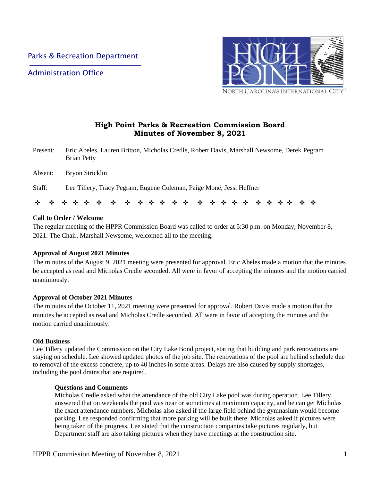Administration Office



# **High Point Parks & Recreation Commission Board Minutes of November 8, 2021**

- Present: Eric Abeles, Lauren Britton, Micholas Credle, Robert Davis, Marshall Newsome, Derek Pegram Brian Petty
- Absent: Bryon Stricklin
- Staff: Lee Tillery, Tracy Pegram, Eugene Coleman, Paige Moné, Jessi Heffner

❖ ❖ ❖ ❖ ❖ ❖ ❖ ❖ ❖ ❖ ❖ ❖ ❖ ❖ ❖ ❖ ❖ ❖ ❖ ❖ ❖ ❖ ❖ ❖

### **Call to Order / Welcome**

The regular meeting of the HPPR Commission Board was called to order at 5:30 p.m. on Monday, November 8, 2021. The Chair, Marshall Newsome, welcomed all to the meeting.

#### **Approval of August 2021 Minutes**

The minutes of the August 9, 2021 meeting were presented for approval. Eric Abeles made a motion that the minutes be accepted as read and Micholas Credle seconded. All were in favor of accepting the minutes and the motion carried unanimously.

#### **Approval of October 2021 Minutes**

The minutes of the October 11, 2021 meeting were presented for approval. Robert Davis made a motion that the minutes be accepted as read and Micholas Credle seconded. All were in favor of accepting the minutes and the motion carried unanimously.

#### **Old Business**

Lee Tillery updated the Commission on the City Lake Bond project, stating that building and park renovations are staying on schedule. Lee showed updated photos of the job site. The renovations of the pool are behind schedule due to removal of the excess concrete, up to 40 inches in some areas. Delays are also caused by supply shortages, including the pool drains that are required.

#### **Questions and Comments**

Micholas Credle asked what the attendance of the old City Lake pool was during operation. Lee Tillery answered that on weekends the pool was near or sometimes at maximum capacity, and he can get Micholas the exact attendance numbers. Micholas also asked if the large field behind the gymnasium would become parking. Lee responded confirming that more parking will be built there. Micholas asked if pictures were being taken of the progress, Lee stated that the construction companies take pictures regularly, but Department staff are also taking pictures when they have meetings at the construction site.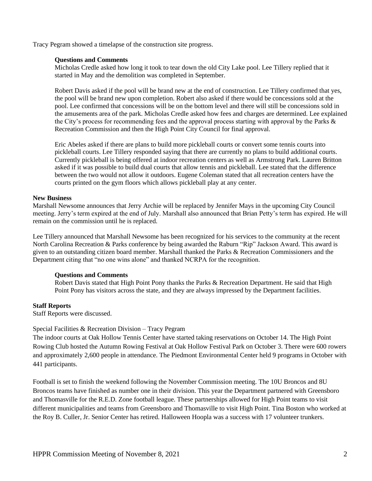Tracy Pegram showed a timelapse of the construction site progress.

#### **Questions and Comments**

Micholas Credle asked how long it took to tear down the old City Lake pool. Lee Tillery replied that it started in May and the demolition was completed in September.

Robert Davis asked if the pool will be brand new at the end of construction. Lee Tillery confirmed that yes, the pool will be brand new upon completion. Robert also asked if there would be concessions sold at the pool. Lee confirmed that concessions will be on the bottom level and there will still be concessions sold in the amusements area of the park. Micholas Credle asked how fees and charges are determined. Lee explained the City's process for recommending fees and the approval process starting with approval by the Parks & Recreation Commission and then the High Point City Council for final approval.

Eric Abeles asked if there are plans to build more pickleball courts or convert some tennis courts into pickleball courts. Lee Tillery responded saying that there are currently no plans to build additional courts. Currently pickleball is being offered at indoor recreation centers as well as Armstrong Park. Lauren Britton asked if it was possible to build dual courts that allow tennis and pickleball. Lee stated that the difference between the two would not allow it outdoors. Eugene Coleman stated that all recreation centers have the courts printed on the gym floors which allows pickleball play at any center.

#### **New Business**

Marshall Newsome announces that Jerry Archie will be replaced by Jennifer Mays in the upcoming City Council meeting. Jerry's term expired at the end of July. Marshall also announced that Brian Petty's term has expired. He will remain on the commission until he is replaced.

Lee Tillery announced that Marshall Newsome has been recognized for his services to the community at the recent North Carolina Recreation & Parks conference by being awarded the Raburn "Rip" Jackson Award. This award is given to an outstanding citizen board member. Marshall thanked the Parks & Recreation Commissioners and the Department citing that "no one wins alone" and thanked NCRPA for the recognition.

#### **Questions and Comments**

Robert Davis stated that High Point Pony thanks the Parks & Recreation Department. He said that High Point Pony has visitors across the state, and they are always impressed by the Department facilities.

#### **Staff Reports**

Staff Reports were discussed.

#### Special Facilities & Recreation Division – Tracy Pegram

The indoor courts at Oak Hollow Tennis Center have started taking reservations on October 14. The High Point Rowing Club hosted the Autumn Rowing Festival at Oak Hollow Festival Park on October 3. There were 600 rowers and approximately 2,600 people in attendance. The Piedmont Environmental Center held 9 programs in October with 441 participants.

Football is set to finish the weekend following the November Commission meeting. The 10U Broncos and 8U Broncos teams have finished as number one in their division. This year the Department partnered with Greensboro and Thomasville for the R.E.D. Zone football league. These partnerships allowed for High Point teams to visit different municipalities and teams from Greensboro and Thomasville to visit High Point. Tina Boston who worked at the Roy B. Culler, Jr. Senior Center has retired. Halloween Hoopla was a success with 17 volunteer trunkers.